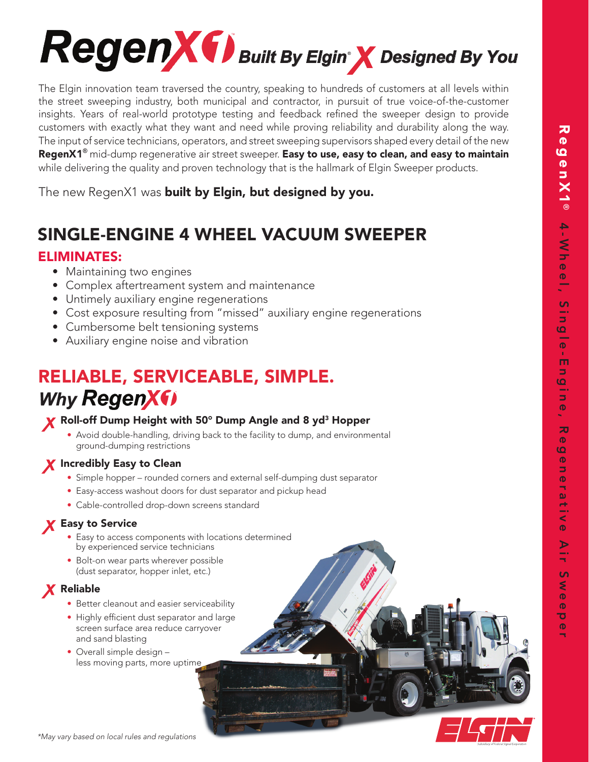

The Elgin innovation team traversed the country, speaking to hundreds of customers at all levels within the street sweeping industry, both municipal and contractor, in pursuit of true voice-of-the-customer insights. Years of real-world prototype testing and feedback refined the sweeper design to provide customers with exactly what they want and need while proving reliability and durability along the way. The input of service technicians, operators, and street sweeping supervisors shaped every detail of the new RegenX1**®** mid-dump regenerative air street sweeper. Easy to use, easy to clean, and easy to maintain while delivering the quality and proven technology that is the hallmark of Elgin Sweeper products.

The new RegenX1 was **built by Elgin, but designed by you.** 

# SINGLE-ENGINE 4 WHEEL VACUUM SWEEPER

## ELIMINATES:

- Maintaining two engines
- Complex aftertreament system and maintenance
- Untimely auxiliary engine regenerations
- Cost exposure resulting from "missed" auxiliary engine regenerations
- Cumbersome belt tensioning systems
- Auxiliary engine noise and vibration

# RELIABLE, SERVICEABLE, SIMPLE. **Why RegenXfl**

### X Roll-off Dump Height with 50° Dump Angle and 8 yd<sup>3</sup> Hopper

 • Avoid double-handling, driving back to the facility to dump, and environmental ground-dumping restrictions

## X Incredibly Easy to Clean

- Simple hopper rounded corners and external self-dumping dust separator
- Easy-access washout doors for dust separator and pickup head
- Cable-controlled drop-down screens standard

## X Easy to Service

- Easy to access components with locations determined by experienced service technicians
- Bolt-on wear parts wherever possible (dust separator, hopper inlet, etc.)

## **X** Reliable

- Better cleanout and easier serviceability
- Highly efficient dust separator and large screen surface area reduce carryover and sand blasting
- Overall simple design less moving parts, more uptime